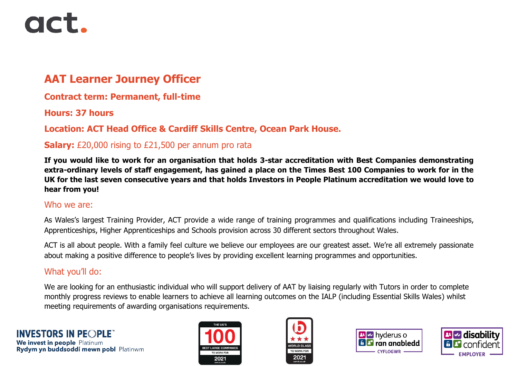# act.

# **AAT Learner Journey Officer**

## **Contract term: Permanent, full-time**

#### **Hours: 37 hours**

## **Location: ACT Head Office & Cardiff Skills Centre, Ocean Park House.**

#### **Salary:** £20,000 rising to £21,500 per annum pro rata

**If you would like to work for an organisation that holds 3-star accreditation with Best Companies demonstrating extra-ordinary levels of staff engagement, has gained a place on the Times Best 100 Companies to work for in the UK for the last seven consecutive years and that holds Investors in People Platinum accreditation we would love to hear from you!**

#### Who we are:

As Wales's largest Training Provider, ACT provide a wide range of training programmes and qualifications including Traineeships, Apprenticeships, Higher Apprenticeships and Schools provision across 30 different sectors throughout Wales.

ACT is all about people. With a family feel culture we believe our employees are our greatest asset. We're all extremely passionate about making a positive difference to people's lives by providing excellent learning programmes and opportunities.

#### What you'll do:

We are looking for an enthusiastic individual who will support delivery of AAT by liaising regularly with Tutors in order to complete monthly progress reviews to enable learners to achieve all learning outcomes on the IALP (including Essential Skills Wales) whilst meeting requirements of awarding organisations requirements.









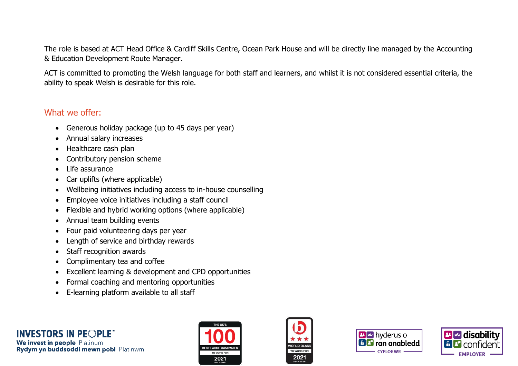The role is based at ACT Head Office & Cardiff Skills Centre, Ocean Park House and will be directly line managed by the Accounting & Education Development Route Manager.

ACT is committed to promoting the Welsh language for both staff and learners, and whilst it is not considered essential criteria, the ability to speak Welsh is desirable for this role.

#### What we offer:

- Generous holiday package (up to 45 days per year)
- Annual salary increases
- Healthcare cash plan
- Contributory pension scheme
- Life assurance
- Car uplifts (where applicable)
- Wellbeing initiatives including access to in-house counselling
- Employee voice initiatives including a staff council
- Flexible and hybrid working options (where applicable)
- Annual team building events
- Four paid volunteering days per year
- Length of service and birthday rewards
- Staff recognition awards
- Complimentary tea and coffee
- Excellent learning & development and CPD opportunities
- Formal coaching and mentoring opportunities
- E-learning platform available to all staff









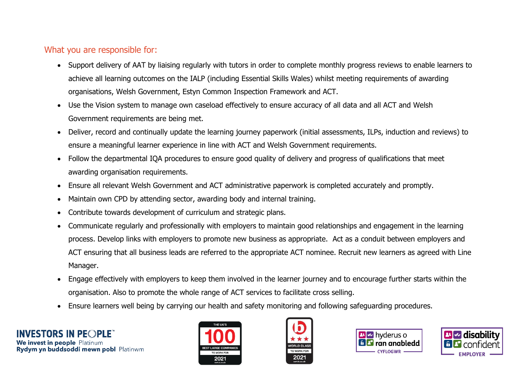#### What you are responsible for:

- Support delivery of AAT by liaising regularly with tutors in order to complete monthly progress reviews to enable learners to achieve all learning outcomes on the IALP (including Essential Skills Wales) whilst meeting requirements of awarding organisations, Welsh Government, Estyn Common Inspection Framework and ACT.
- Use the Vision system to manage own caseload effectively to ensure accuracy of all data and all ACT and Welsh Government requirements are being met.
- Deliver, record and continually update the learning journey paperwork (initial assessments, ILPs, induction and reviews) to ensure a meaningful learner experience in line with ACT and Welsh Government requirements.
- Follow the departmental IQA procedures to ensure good quality of delivery and progress of qualifications that meet awarding organisation requirements.
- Ensure all relevant Welsh Government and ACT administrative paperwork is completed accurately and promptly.
- Maintain own CPD by attending sector, awarding body and internal training.
- Contribute towards development of curriculum and strategic plans.
- Communicate regularly and professionally with employers to maintain good relationships and engagement in the learning process. Develop links with employers to promote new business as appropriate. Act as a conduit between employers and ACT ensuring that all business leads are referred to the appropriate ACT nominee. Recruit new learners as agreed with Line Manager.
- Engage effectively with employers to keep them involved in the learner journey and to encourage further starts within the organisation. Also to promote the whole range of ACT services to facilitate cross selling.
- Ensure learners well being by carrying our health and safety monitoring and following safeguarding procedures.







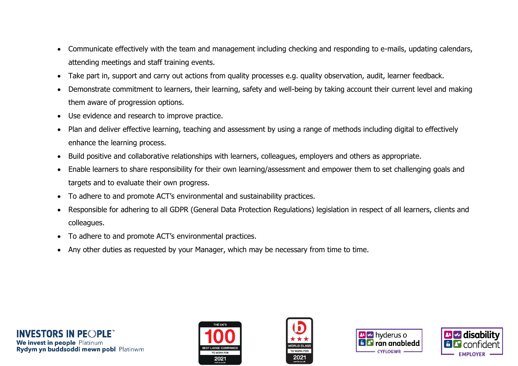- Communicate effectively with the team and management including checking and responding to e-mails, updating calendars, attending meetings and staff training events.
- Take part in, support and carry out actions from quality processes e.g. quality observation, audit, learner feedback.
- Demonstrate commitment to learners, their learning, safety and well-being by taking account their current level and making them aware of progression options.
- Use evidence and research to improve practice.
- Plan and deliver effective learning, teaching and assessment by using a range of methods including digital to effectively enhance the learning process.
- Build positive and collaborative relationships with learners, colleagues, employers and others as appropriate.
- Enable learners to share responsibility for their own learning/assessment and empower them to set challenging goals and targets and to evaluate their own progress.
- To adhere to and promote ACT's environmental and sustainability practices.
- Responsible for adhering to all GDPR (General Data Protection Regulations) legislation in respect of all learners, clients and colleagues.
- To adhere to and promote ACT's environmental practices.
- Any other duties as requested by your Manager, which may be necessary from time to time.









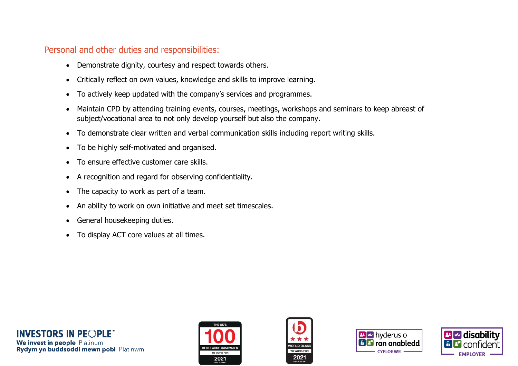#### Personal and other duties and responsibilities:

- Demonstrate dignity, courtesy and respect towards others.
- Critically reflect on own values, knowledge and skills to improve learning.
- To actively keep updated with the company's services and programmes.
- Maintain CPD by attending training events, courses, meetings, workshops and seminars to keep abreast of subject/vocational area to not only develop yourself but also the company.
- To demonstrate clear written and verbal communication skills including report writing skills.
- To be highly self-motivated and organised.
- To ensure effective customer care skills.
- A recognition and regard for observing confidentiality.
- The capacity to work as part of a team.
- An ability to work on own initiative and meet set timescales.
- General housekeeping duties.
- To display ACT core values at all times.









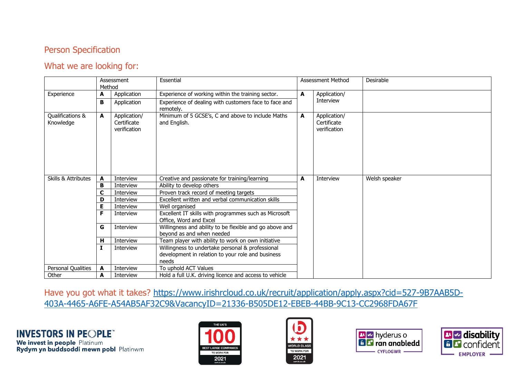#### Person Specification

#### What we are looking for:

|                                | Assessment<br>Method |                                             | Essential                                                                                                      | Assessment Method |                                             | Desirable     |
|--------------------------------|----------------------|---------------------------------------------|----------------------------------------------------------------------------------------------------------------|-------------------|---------------------------------------------|---------------|
| Experience                     | A                    | Application                                 | Experience of working within the training sector.                                                              | A                 | Application/<br>Interview                   |               |
|                                | B                    | Application                                 | Experience of dealing with customers face to face and<br>remotely.                                             |                   |                                             |               |
| Qualifications &<br>Knowledge  | A                    | Application/<br>Certificate<br>verification | Minimum of 5 GCSE's, C and above to include Maths<br>and English.                                              | A                 | Application/<br>Certificate<br>verification |               |
| <b>Skills &amp; Attributes</b> | A                    | <b>Interview</b>                            | Creative and passionate for training/learning                                                                  | A                 | Interview                                   | Welsh speaker |
|                                | в                    | Interview                                   | Ability to develop others                                                                                      |                   |                                             |               |
|                                | C                    | Interview                                   | Proven track record of meeting targets                                                                         |                   |                                             |               |
|                                | D                    | Interview                                   | Excellent written and verbal communication skills                                                              |                   |                                             |               |
|                                | Е                    | Interview                                   | Well organised                                                                                                 |                   |                                             |               |
|                                | F                    | Interview                                   | Excellent IT skills with programmes such as Microsoft<br>Office, Word and Excel                                |                   |                                             |               |
|                                | G                    | Interview                                   | Willingness and ability to be flexible and go above and<br>beyond as and when needed                           |                   |                                             |               |
|                                | н                    | Interview                                   | Team player with ability to work on own initiative                                                             |                   |                                             |               |
|                                |                      | Interview                                   | Willingness to undertake personal & professional<br>development in relation to your role and business<br>needs |                   |                                             |               |
| Personal Qualities             | A                    | <b>Interview</b>                            | To uphold ACT Values                                                                                           |                   |                                             |               |
| Other                          | A                    | Interview                                   | Hold a full U.K. driving licence and access to vehicle                                                         |                   |                                             |               |

Have you got what it takes? [https://www.irishrcloud.co.uk/recruit/application/apply.aspx?cid=527-9B7AAB5D-](https://www.irishrcloud.co.uk/recruit/application/apply.aspx?cid=527-9B7AAB5D-403A-4465-A6FE-A54AB5AF32C9&VacancyID=21336-B505DE12-EBEB-44BB-9C13-CC2968FDA67F)[403A-4465-A6FE-A54AB5AF32C9&VacancyID=21336-B505DE12-EBEB-44BB-9C13-CC2968FDA67F](https://www.irishrcloud.co.uk/recruit/application/apply.aspx?cid=527-9B7AAB5D-403A-4465-A6FE-A54AB5AF32C9&VacancyID=21336-B505DE12-EBEB-44BB-9C13-CC2968FDA67F)